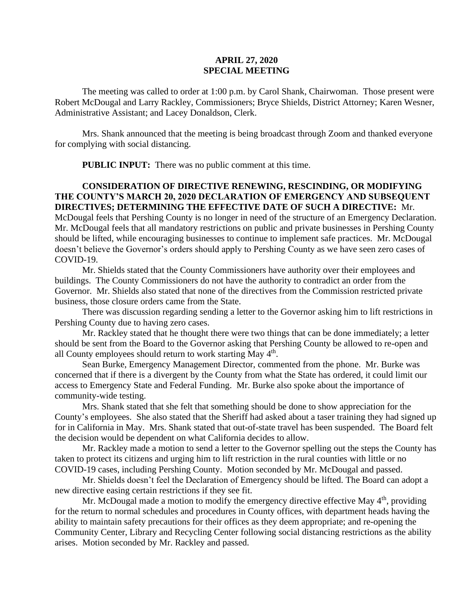## **APRIL 27, 2020 SPECIAL MEETING**

The meeting was called to order at 1:00 p.m. by Carol Shank, Chairwoman. Those present were Robert McDougal and Larry Rackley, Commissioners; Bryce Shields, District Attorney; Karen Wesner, Administrative Assistant; and Lacey Donaldson, Clerk.

Mrs. Shank announced that the meeting is being broadcast through Zoom and thanked everyone for complying with social distancing.

**PUBLIC INPUT:** There was no public comment at this time.

## **CONSIDERATION OF DIRECTIVE RENEWING, RESCINDING, OR MODIFYING THE COUNTY'S MARCH 20, 2020 DECLARATION OF EMERGENCY AND SUBSEQUENT DIRECTIVES; DETERMINING THE EFFECTIVE DATE OF SUCH A DIRECTIVE:** Mr.

McDougal feels that Pershing County is no longer in need of the structure of an Emergency Declaration. Mr. McDougal feels that all mandatory restrictions on public and private businesses in Pershing County should be lifted, while encouraging businesses to continue to implement safe practices. Mr. McDougal doesn't believe the Governor's orders should apply to Pershing County as we have seen zero cases of COVID-19.

Mr. Shields stated that the County Commissioners have authority over their employees and buildings. The County Commissioners do not have the authority to contradict an order from the Governor. Mr. Shields also stated that none of the directives from the Commission restricted private business, those closure orders came from the State.

There was discussion regarding sending a letter to the Governor asking him to lift restrictions in Pershing County due to having zero cases.

Mr. Rackley stated that he thought there were two things that can be done immediately; a letter should be sent from the Board to the Governor asking that Pershing County be allowed to re-open and all County employees should return to work starting May  $4<sup>th</sup>$ .

Sean Burke, Emergency Management Director, commented from the phone. Mr. Burke was concerned that if there is a divergent by the County from what the State has ordered, it could limit our access to Emergency State and Federal Funding. Mr. Burke also spoke about the importance of community-wide testing.

Mrs. Shank stated that she felt that something should be done to show appreciation for the County's employees. She also stated that the Sheriff had asked about a taser training they had signed up for in California in May. Mrs. Shank stated that out-of-state travel has been suspended. The Board felt the decision would be dependent on what California decides to allow.

Mr. Rackley made a motion to send a letter to the Governor spelling out the steps the County has taken to protect its citizens and urging him to lift restriction in the rural counties with little or no COVID-19 cases, including Pershing County. Motion seconded by Mr. McDougal and passed.

Mr. Shields doesn't feel the Declaration of Emergency should be lifted. The Board can adopt a new directive easing certain restrictions if they see fit.

Mr. McDougal made a motion to modify the emergency directive effective May 4<sup>th</sup>, providing for the return to normal schedules and procedures in County offices, with department heads having the ability to maintain safety precautions for their offices as they deem appropriate; and re-opening the Community Center, Library and Recycling Center following social distancing restrictions as the ability arises. Motion seconded by Mr. Rackley and passed.